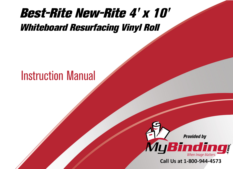## [Best-Rite New-Rite 4' x 10'](https://www.mybinding.com/best-rite-new-rite-whiteboard-resurfacing-vinyl-roll.html?sku=214K)  Whiteboard Resurfacing Vinyl Roll

## Instruction Manual



Call Us at 1-800-944-4573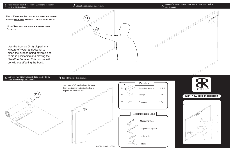**READ THROUGH INSTRUCTIONS FROM BEGINNING TO END BEFORE STARTING THIS INSTALLATION.**

**NOTE:THIS INSTALLATION REQUIRES TWO PEOPLE.**

Use the Sponge (P-2) dipped in a Mixture of Water and Alcohol to clean the surface being covered and to aid in positioning and moving the New-Rite Surface. This mixture will dry without effecting the bond.





NewRite\_install 11/30/09



## **#214 New-Rite Installation**